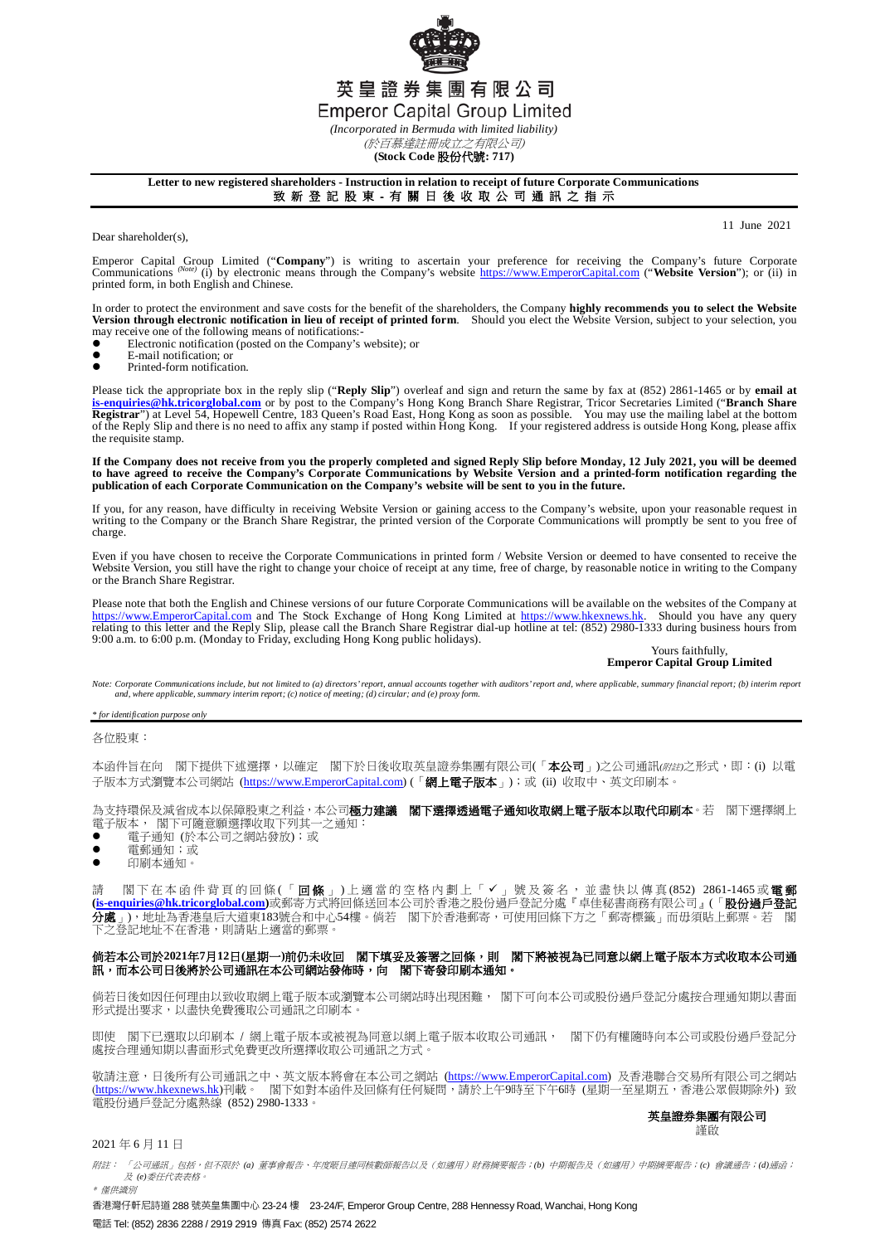

(於百慕達註冊成立之有限公司) **(Stock Code** 股份代號**: 717)**

### **Letter to new registered shareholders - Instruction in relation to receipt of future Corporate Communications** 致 新 登 記 股 東 - 有 關 日 後 收 取 公 司 通 訊 之 指 示

Dear shareholder(s),

11 June 2021

Emperor Capital Group Limited ("**Company**") is writing to ascertain your preference for receiving the Company's future Corporate Company's future Corporate Company's enterpretively (i) by electronic means through the Compa printed form, in both English and Chinese.

In order to protect the environment and save costs for the benefit of the shareholders, the Company **highly recommends you to select the Website**<br>Version through electronic notification in lieu of receipt of printed form. may receive one of the following means of notifications:-

- $\bullet$  Electronic notification (posted on the Company's website); or
- $\bullet$  E-mail notification; or
- Printed-form notification.

Please tick the appropriate box in the reply slip ("**Reply Slip**") overleaf and sign and return the same by fax at (852) 2861-1465 or by **email at**  [is-enquiries@hk.tricorglobal.com](mailto:is-enquiries@hk.tricorglobal.com) or by post to the Company's Hong Kong Branch Share Registrar, Tricor Secretaries Limited ("Branch Share<br>Registrar") at Level 54, Hopewell Centre, 183 Queen's Road East, Hong Kong as soon as the requisite stamp.

**If the Company does not receive from you the properly completed and signed Reply Slip before Monday, 12 July 2021, you will be deemed**  to have agreed to receive the Company's Corporate Communications by Website Version and a printed-form notification regarding the<br>publication of each Corporate Communication on the Company's website will be sent to you in

If you, for any reason, have difficulty in receiving Website Version or gaining access to the Company's website, upon your reasonable request in writing to the Company or the Branch Share Registrar, the printed version of the Corporate Communications will promptly be sent to you free of charge.

Even if you have chosen to receive the Corporate Communications in printed form / Website Version or deemed to have consented to receive the<br>Website Version, you still have the right to change your choice of receipt at any or the Branch Share Registrar.

Please note that both the English and Chinese versions of our future Corporate Communications will be available on the websites of the Company at [https://www.EmperorCapital.com](https://www.emperorcapital.com/) and The Stock Exchange of Hong Kong Limited at [https://www.hkexnews.hk.](https://www.hkexnews.hk/) Should you have any query<br>relating to this letter and the Reply Slip, please call the Branch Share Registrar dial-up ho

### Yours faithfully, **Emperor Capital Group Limited**

Note: Corporate Communications include, but not limited to (a) directors' report, annual accounts together with auditors' report and, where applicable, summary financial report; (b) interim report *and, where applicable, summary interim report; (c) notice of meeting; (d) circular; and (e) proxy form.*

*\* for identification purpose only*

各位股東:

本函件旨在向 閣下提供下述選擇,以確定 閣下於日後收取英皇證券集團有限公司(「本公司」)之公司通訊(*附註*)之形式,即:(i) 以電 子版本方式瀏覽本公司網站 [\(https://www.EmperorCapital.com\)](https://www.emperorcapital.com/) (「網上電子版本」);或 (ii) 收取中、英文印刷本。

為支持環保及減省成本以保障股東之利益,本公司極力建議 閣下選擇透過電子通知收取網上電子版本以取代印刷本。若 閣下選擇網上 電子版本, 閣下可隨意願選擇收取下列其一之通知:

- 電子通知 (於本公司之網站發放);或
- 電郵通知;或<br>● 印刷木通知。
- 印刷本通知。

請 閣下在本函件背頁的回條(「**回條**」)上適當的空格內劃上「✔」號及簽名,並盡快以傳真(852) 2861-1465或**電郵 [\(is-enquiries@hk.tricorglobal.com\)](mailto:is-enquiries@hk.tricorglobal.com)**或郵寄方式將回條送回本公司於香港之股份過戶登記分處『卓佳秘書商務有限公司』(「股份過戶登記 **分處**」),地址為香港皇后大道東183號合和中心54樓。倘若 閣下於香港郵寄,可使用回條下方之「郵寄標籤」而毋須貼上郵票。若 閣 下之登記地址不在香港,則請貼上適當的郵票。

## 倘若本公司於**2021**年**7**月**12**日**(**星期一**)**前仍未收回 閣下填妥及簽署之回條,則 閣下將被視為已同意以網上電子版本方式收取本公司通 訊,而本公司日後將於公司通訊在本公司網站發佈時,向 閣下寄發印刷本通知。

 倘若日後如因任何理由以致收取網上電子版本或瀏覽本公司網站時出現困難, 閣下可向本公司或股份過戶登記分處按合理通知期以書面 形式提出要求,以盡快免費獲取公司通訊之印刷本。

即使 閣下已選取以印刷本 / 網上電子版本或被視為同意以網上電子版本收取公司通訊, 閣下仍有權隨時向本公司或股份過戶登記分 處按合理通知期以書面形式免費更改所選擇收取公司通訊之方式。

敬請注意,日後所有公司通訊之中、英文版本將會在本公司之網站 [\(https://www.EmperorCapital.com\)](https://www.emperorcapital.com/) 及香港聯合交易所有限公司之網站 ([https://www.hkexnews.hk\)](https://www.hkexnews.hk/)刊載。 閣下如對本函件及回條有任何疑問,請於上午9時至下午6時 (星期一至星期五,香港公眾假期除外) 致 電股份過戶登記分處熱線 (852) 2980-1333。

### 英皇證券集團有限公司 謹啟

### 2021 年 6 月 11 日

附註: 「公司通訊」包括,但不限於 *(a)* 董事會報告、年度賬目連同核數師報告以及(如適用)財務摘要報告;*(b)* 中期報告及(如適用)中期摘要報告;*(c)* 會議通告;*(d)*通函; 及 *(e)*委任代表表格。 \* 僅供識別

香港灣仔軒尼詩道 288 號英皇集團中心 23-24 樓 23-24/F, Emperor Group Centre, 288 Hennessy Road, Wanchai, Hong Kong 電話 Tel: (852) 2836 2288 / 2919 2919 傳真 Fax: (852) 2574 2622